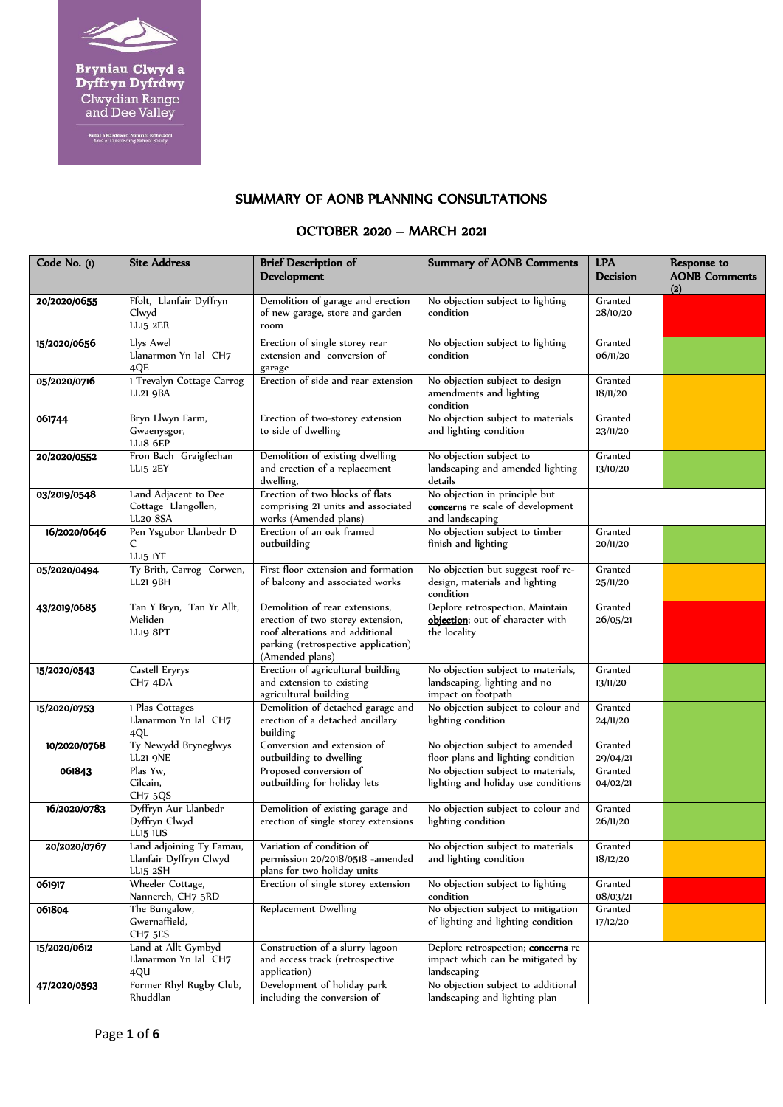

**Bryniau Clwyd a<br>Dyffryn Dyfrdwy**<br>Clwydian Range<br>and Dee Valley

Ardal o Harddwch Naturiol Eithriadol<br>Area of Outstanding Natural Beauty

## SUMMARY OF AONB PLANNING CONSULTATIONS

## OCTOBER 2020 – MARCH 2021

| Code No. (1) | <b>Site Address</b>                                            | <b>Brief Description of</b><br>Development                                                                                                                       | <b>Summary of AONB Comments</b>                                                          | <b>LPA</b><br>Decision | Response to<br><b>AONB Comments</b><br>(2) |
|--------------|----------------------------------------------------------------|------------------------------------------------------------------------------------------------------------------------------------------------------------------|------------------------------------------------------------------------------------------|------------------------|--------------------------------------------|
| 20/2020/0655 | Ffolt, Llanfair Dyffryn<br>Clwyd<br>LLI5 2ER                   | Demolition of garage and erection<br>of new garage, store and garden<br>room                                                                                     | No objection subject to lighting<br>condition                                            | Granted<br>28/10/20    |                                            |
| 15/2020/0656 | Llys Awel<br>Llanarmon Yn Ial CH7<br>4QE                       | Erection of single storey rear<br>extension and conversion of<br>garage                                                                                          | No objection subject to lighting<br>condition                                            | Granted<br>06/11/20    |                                            |
| 05/2020/0716 | 1 Trevalyn Cottage Carrog<br>LL21 9BA                          | Erection of side and rear extension                                                                                                                              | No objection subject to design<br>amendments and lighting<br>condition                   | Granted<br>18/11/20    |                                            |
| 061744       | Bryn Llwyn Farm,<br>Gwaenysgor,<br>LLI8 6EP                    | Erection of two-storey extension<br>to side of dwelling                                                                                                          | No objection subject to materials<br>and lighting condition                              | Granted<br>23/11/20    |                                            |
| 20/2020/0552 | Fron Bach Graigfechan<br>LLI5 2EY                              | Demolition of existing dwelling<br>and erection of a replacement<br>dwelling,                                                                                    | No objection subject to<br>landscaping and amended lighting<br>details                   | Granted<br>13/10/20    |                                            |
| 03/2019/0548 | Land Adjacent to Dee<br>Cottage Llangollen,<br><b>LL20 8SA</b> | Erection of two blocks of flats<br>comprising 21 units and associated<br>works (Amended plans)                                                                   | No objection in principle but<br>concerns re scale of development<br>and landscaping     |                        |                                            |
| 16/2020/0646 | Pen Ysgubor Llanbedr D<br>C<br>LLI5 IYF                        | Erection of an oak framed<br>outbuilding                                                                                                                         | No objection subject to timber<br>finish and lighting                                    | Granted<br>20/11/20    |                                            |
| 05/2020/0494 | Ty Brith, Carrog Corwen,<br>LL21 9BH                           | First floor extension and formation<br>of balcony and associated works                                                                                           | No objection but suggest roof re-<br>design, materials and lighting<br>condition         | Granted<br>25/11/20    |                                            |
| 43/2019/0685 | Tan Y Bryn, Tan Yr Allt,<br>Meliden<br>LLI9 8PT                | Demolition of rear extensions,<br>erection of two storey extension,<br>roof alterations and additional<br>parking (retrospective application)<br>(Amended plans) | Deplore retrospection. Maintain<br>objection; out of character with<br>the locality      | Granted<br>26/05/21    |                                            |
| 15/2020/0543 | Castell Eryrys<br>CH7 4DA                                      | Erection of agricultural building<br>and extension to existing<br>agricultural building                                                                          | No objection subject to materials,<br>landscaping, lighting and no<br>impact on footpath | Granted<br>13/11/20    |                                            |
| 15/2020/0753 | 1 Plas Cottages<br>Llanarmon Yn Ial CH7<br>4QL                 | Demolition of detached garage and<br>erection of a detached ancillary<br>building                                                                                | No objection subject to colour and<br>lighting condition                                 | Granted<br>24/11/20    |                                            |
| 10/2020/0768 | Ty Newydd Bryneglwys<br><b>LL21 9NE</b>                        | Conversion and extension of<br>outbuilding to dwelling                                                                                                           | No objection subject to amended<br>floor plans and lighting condition                    | Granted<br>29/04/21    |                                            |
| 061843       | Plas Yw,<br>Cilcain,<br><b>CH7 5QS</b>                         | Proposed conversion of<br>outbuilding for holiday lets                                                                                                           | No objection subject to materials,<br>lighting and holiday use conditions                | Granted<br>04/02/21    |                                            |
| 16/2020/0783 | Dyffryn Aur Llanbedr<br>Dyffryn Clwyd<br>LLI5 IUS              | Demolition of existing garage and<br>erection of single storey extensions                                                                                        | No objection subject to colour and<br>lighting condition                                 | Granted<br>26/11/20    |                                            |
| 20/2020/0767 | Land adjoining Ty Famau,<br>Llanfair Dyffryn Clwyd<br>LLI5 2SH | Variation of condition of<br>permission 20/2018/0518 -amended<br>plans for two holiday units                                                                     | No objection subject to materials<br>and lighting condition                              | Granted<br>18/12/20    |                                            |
| 061917       | Wheeler Cottage,<br>Nannerch, CH7 5RD                          | Erection of single storey extension                                                                                                                              | No objection subject to lighting<br>condition                                            | Granted<br>08/03/21    |                                            |
| 061804       | The Bungalow,<br>Gwernaffield,<br>CH <sub>7</sub> 5ES          | Replacement Dwelling                                                                                                                                             | No objection subject to mitigation<br>of lighting and lighting condition                 | Granted<br>17/12/20    |                                            |
| 15/2020/0612 | Land at Allt Gymbyd<br>Llanarmon Yn Ial CH7<br>4QU             | Construction of a slurry lagoon<br>and access track (retrospective<br>application)                                                                               | Deplore retrospection; concerns re<br>impact which can be mitigated by<br>landscaping    |                        |                                            |
| 47/2020/0593 | Former Rhyl Rugby Club,<br>Rhuddlan                            | Development of holiday park<br>including the conversion of                                                                                                       | No objection subject to additional<br>landscaping and lighting plan                      |                        |                                            |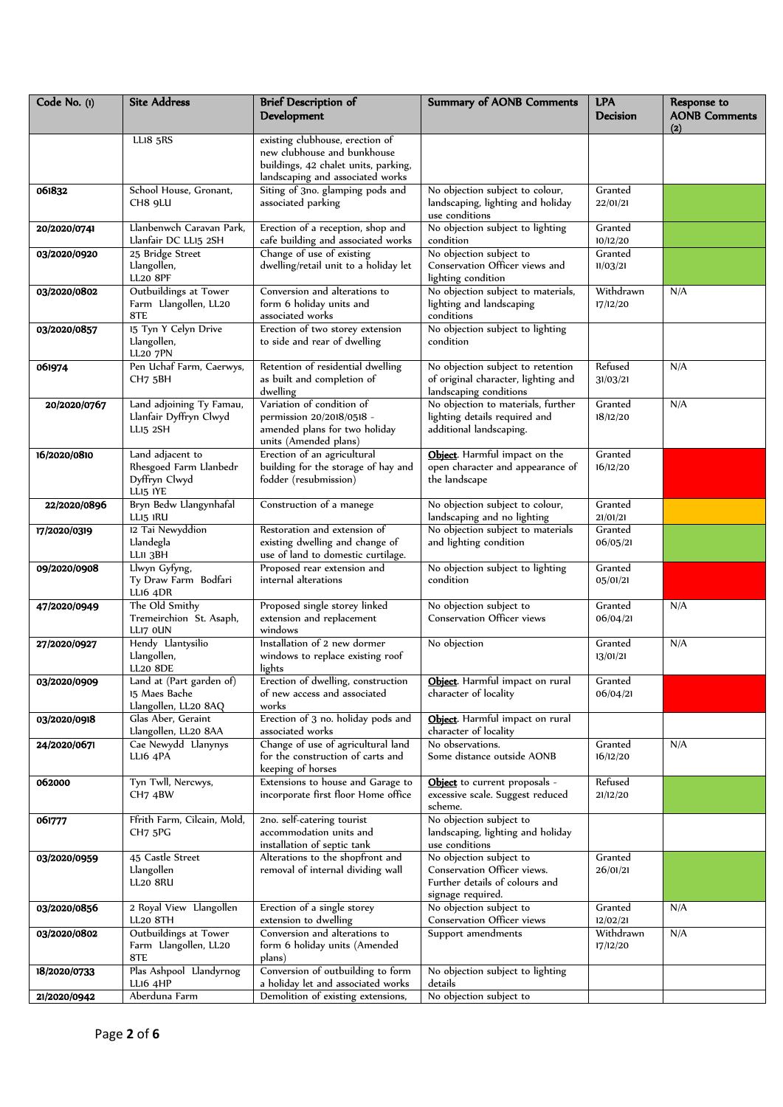| Code No. (1) | <b>Site Address</b>                                                     | <b>Brief Description of</b><br>Development                                                                                                 | <b>Summary of AONB Comments</b>                                                                               | <b>LPA</b><br><b>Decision</b> | Response to<br><b>AONB Comments</b><br>(2) |
|--------------|-------------------------------------------------------------------------|--------------------------------------------------------------------------------------------------------------------------------------------|---------------------------------------------------------------------------------------------------------------|-------------------------------|--------------------------------------------|
|              | <b>LL18 5RS</b>                                                         | existing clubhouse, erection of<br>new clubhouse and bunkhouse<br>buildings, 42 chalet units, parking,<br>landscaping and associated works |                                                                                                               |                               |                                            |
| 061832       | School House, Gronant,<br>CH8 9LU                                       | Siting of 3no. glamping pods and<br>associated parking                                                                                     | No objection subject to colour,<br>landscaping, lighting and holiday<br>use conditions                        | Granted<br>22/01/21           |                                            |
| 20/2020/0741 | Llanbenwch Caravan Park,<br>Llanfair DC LL15 2SH                        | Erection of a reception, shop and<br>cafe building and associated works                                                                    | No objection subject to lighting<br>condition                                                                 | Granted<br>10/12/20           |                                            |
| 03/2020/0920 | 25 Bridge Street<br>Llangollen,<br><b>LL20 8PF</b>                      | Change of use of existing<br>dwelling/retail unit to a holiday let                                                                         | No objection subject to<br>Conservation Officer views and<br>lighting condition                               | Granted<br>11/03/21           |                                            |
| 03/2020/0802 | Outbuildings at Tower<br>Farm Llangollen, LL20<br>8TE                   | Conversion and alterations to<br>form 6 holiday units and<br>associated works                                                              | No objection subject to materials,<br>lighting and landscaping<br>conditions                                  | Withdrawn<br>17/12/20         | N/A                                        |
| 03/2020/0857 | 15 Tyn Y Celyn Drive<br>Llangollen,<br><b>LL20 7PN</b>                  | Erection of two storey extension<br>to side and rear of dwelling                                                                           | No objection subject to lighting<br>condition                                                                 |                               |                                            |
| 061974       | Pen Uchaf Farm, Caerwys,<br>CH7 5BH                                     | Retention of residential dwelling<br>as built and completion of<br>dwelling                                                                | No objection subject to retention<br>of original character, lighting and<br>landscaping conditions            | Refused<br>31/03/21           | N/A                                        |
| 20/2020/0767 | Land adjoining Ty Famau,<br>Llanfair Dyffryn Clwyd<br>LLI5 2SH          | Variation of condition of<br>permission 20/2018/0518 -<br>amended plans for two holiday<br>units (Amended plans)                           | No objection to materials, further<br>lighting details required and<br>additional landscaping.                | Granted<br>18/12/20           | N/A                                        |
| 16/2020/0810 | Land adjacent to<br>Rhesgoed Farm Llanbedr<br>Dyffryn Clwyd<br>LLI5 IYE | Erection of an agricultural<br>building for the storage of hay and<br>fodder (resubmission)                                                | Object. Harmful impact on the<br>open character and appearance of<br>the landscape                            | Granted<br>16/12/20           |                                            |
| 22/2020/0896 | Bryn Bedw Llangynhafal<br>LLI5 IRU                                      | Construction of a manege                                                                                                                   | No objection subject to colour,<br>landscaping and no lighting                                                | Granted<br>21/01/21           |                                            |
| 17/2020/0319 | 12 Tai Newyddion<br>Llandegla<br>LLII 3BH                               | Restoration and extension of<br>existing dwelling and change of<br>use of land to domestic curtilage.                                      | No objection subject to materials<br>and lighting condition                                                   | Granted<br>06/05/21           |                                            |
| 09/2020/0908 | Llwyn Gyfyng,<br>Ty Draw Farm Bodfari<br><b>LLI6 4DR</b>                | Proposed rear extension and<br>internal alterations                                                                                        | No objection subject to lighting<br>condition                                                                 | Granted<br>05/01/21           |                                            |
| 47/2020/0949 | The Old Smithy<br>Tremeirchion St. Asaph,<br>LLI7 OUN                   | Proposed single storey linked<br>extension and replacement<br>windows                                                                      | No objection subject to<br>Conservation Officer views                                                         | Granted<br>06/04/21           | N/A                                        |
| 27/2020/0927 | Hendy Llantysilio<br>Llangollen,<br><b>LL20 8DE</b>                     | Installation of 2 new dormer<br>windows to replace existing roof<br>lights                                                                 | No objection                                                                                                  | Granted<br>13/01/21           | N/A                                        |
| 03/2020/0909 | Land at (Part garden of)<br>15 Maes Bache<br>Llangollen, LL20 8AQ       | Erection of dwelling, construction<br>of new access and associated<br>works                                                                | Object. Harmful impact on rural<br>character of locality                                                      | Granted<br>06/04/21           |                                            |
| 03/2020/0918 | Glas Aber, Geraint<br>Llangollen, LL20 8AA                              | Erection of 3 no. holiday pods and<br>associated works                                                                                     | Object. Harmful impact on rural<br>character of locality                                                      |                               |                                            |
| 24/2020/0671 | Cae Newydd Llanynys<br>LLI6 4PA                                         | Change of use of agricultural land<br>for the construction of carts and<br>keeping of horses                                               | No observations.<br>Some distance outside AONB                                                                | Granted<br>16/12/20           | N/A                                        |
| 062000       | Tyn Twll, Nercwys,<br>CH7 4BW                                           | Extensions to house and Garage to<br>incorporate first floor Home office                                                                   | Object to current proposals -<br>excessive scale. Suggest reduced<br>scheme.                                  | Refused<br>21/12/20           |                                            |
| 061777       | Ffrith Farm, Cilcain, Mold,<br>CH7 5PG                                  | 2no. self-catering tourist<br>accommodation units and<br>installation of septic tank                                                       | No objection subject to<br>landscaping, lighting and holiday<br>use conditions                                |                               |                                            |
| 03/2020/0959 | 45 Castle Street<br>Llangollen<br><b>LL20 8RU</b>                       | Alterations to the shopfront and<br>removal of internal dividing wall                                                                      | No objection subject to<br>Conservation Officer views.<br>Further details of colours and<br>signage required. | Granted<br>26/01/21           |                                            |
| 03/2020/0856 | 2 Royal View Llangollen<br>LL20 8TH                                     | Erection of a single storey<br>extension to dwelling                                                                                       | No objection subject to<br>Conservation Officer views                                                         | Granted<br>12/02/21           | N/A                                        |
| 03/2020/0802 | Outbuildings at Tower<br>Farm Llangollen, LL20<br>8TE                   | Conversion and alterations to<br>form 6 holiday units (Amended<br>plans)                                                                   | Support amendments                                                                                            | Withdrawn<br>17/12/20         | N/A                                        |
| 18/2020/0733 | Plas Ashpool Llandyrnog<br>LLI6 4HP                                     | Conversion of outbuilding to form<br>a holiday let and associated works                                                                    | No objection subject to lighting<br>details                                                                   |                               |                                            |
| 21/2020/0942 | Aberduna Farm                                                           | Demolition of existing extensions,                                                                                                         | No objection subject to                                                                                       |                               |                                            |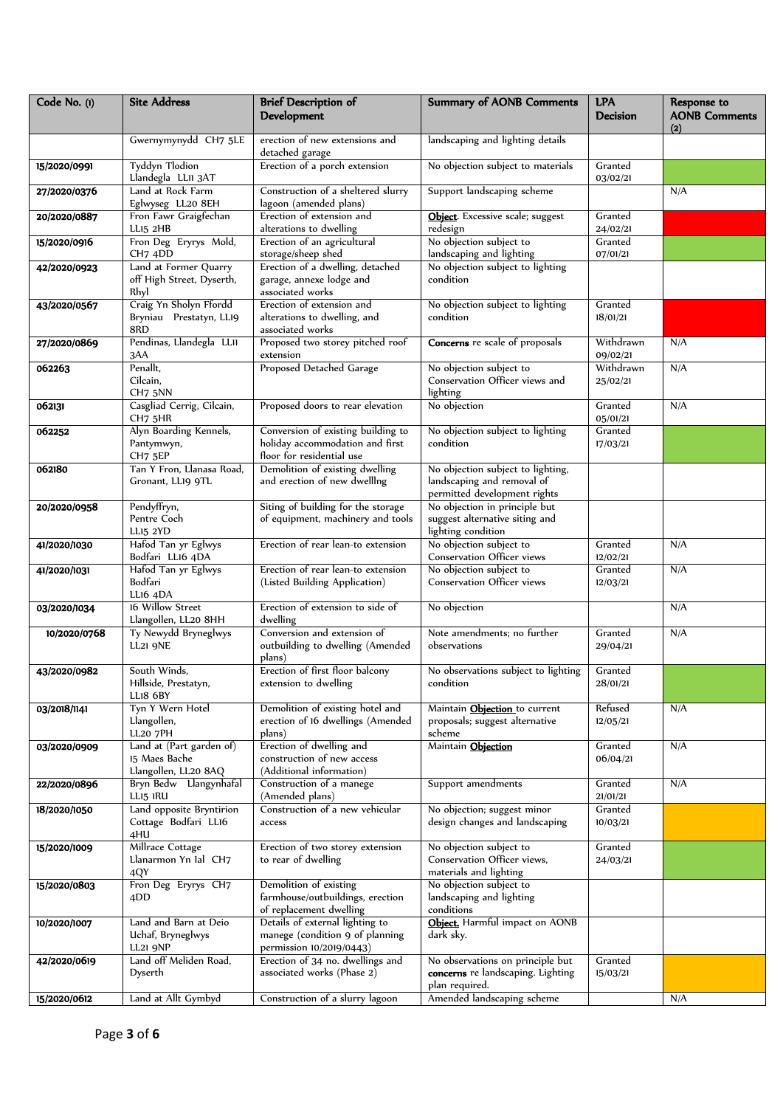| Code No. (1) | <b>Site Address</b>                                               | <b>Brief Description of</b><br>Development                                                         | <b>Summary of AONB Comments</b>                                                                 | <b>LPA</b><br><b>Decision</b> | Response to<br><b>AONB Comments</b><br>(2) |
|--------------|-------------------------------------------------------------------|----------------------------------------------------------------------------------------------------|-------------------------------------------------------------------------------------------------|-------------------------------|--------------------------------------------|
|              | Gwernymynydd CH7 5LE                                              | erection of new extensions and<br>detached garage                                                  | landscaping and lighting details                                                                |                               |                                            |
| 15/2020/0991 | <b>Tyddyn Tlodion</b><br>Llandegla LLII 3AT                       | Erection of a porch extension                                                                      | No objection subject to materials                                                               | Granted<br>03/02/21           |                                            |
| 27/2020/0376 | Land at Rock Farm<br>Eglwyseg LL20 8EH                            | Construction of a sheltered slurry<br>lagoon (amended plans)                                       | Support landscaping scheme                                                                      |                               | N/A                                        |
| 20/2020/0887 | Fron Fawr Graigfechan<br>LLI5 2HB                                 | Erection of extension and<br>alterations to dwelling                                               | Object. Excessive scale; suggest<br>redesign                                                    | Granted<br>24/02/21           |                                            |
| 15/2020/0916 | Fron Deg Eryrys Mold,<br>CH7 4DD                                  | Erection of an agricultural<br>storage/sheep shed                                                  | No objection subject to<br>landscaping and lighting                                             | Granted<br>07/01/21           |                                            |
| 42/2020/0923 | Land at Former Quarry<br>off High Street, Dyserth,<br>Rhyl        | Erection of a dwelling, detached<br>garage, annexe lodge and<br>associated works                   | No objection subject to lighting<br>condition                                                   |                               |                                            |
| 43/2020/0567 | Craig Yn Sholyn Ffordd<br>Bryniau Prestatyn, LL19<br>8RD          | Erection of extension and<br>alterations to dwelling, and<br>associated works                      | No objection subject to lighting<br>condition                                                   | Granted<br>18/01/21           |                                            |
| 27/2020/0869 | Pendinas, Llandegla LLII<br>3AA                                   | Proposed two storey pitched roof<br>extension                                                      | Concerns re scale of proposals                                                                  | Withdrawn<br>09/02/21         | N/A                                        |
| 062263       | Penallt,<br>Cilcain,<br>CH7 5NN                                   | Proposed Detached Garage                                                                           | No objection subject to<br>Conservation Officer views and<br>lighting                           | Withdrawn<br>25/02/21         | N/A                                        |
| 062131       | Casgliad Cerrig, Cilcain,<br>CH7 5HR                              | Proposed doors to rear elevation                                                                   | No objection                                                                                    | Granted<br>05/01/21           | N/A                                        |
| 062252       | Alyn Boarding Kennels,<br>Pantymwyn,<br>CH <sub>7</sub> 5EP       | Conversion of existing building to<br>holiday accommodation and first<br>floor for residential use | No objection subject to lighting<br>condition                                                   | Granted<br>17/03/21           |                                            |
| 062180       | Tan Y Fron, Llanasa Road,<br>Gronant, LL19 9TL                    | Demolition of existing dwelling<br>and erection of new dwelling                                    | No objection subject to lighting,<br>landscaping and removal of<br>permitted development rights |                               |                                            |
| 20/2020/0958 | Pendyffryn,<br>Pentre Coch<br><b>LLI5 2YD</b>                     | Siting of building for the storage<br>of equipment, machinery and tools                            | No objection in principle but<br>suggest alternative siting and<br>lighting condition           |                               |                                            |
| 41/2020/1030 | Hafod Tan yr Eglwys<br>Bodfari LL16 4DA                           | Erection of rear lean-to extension                                                                 | No objection subject to<br>Conservation Officer views                                           | Granted<br>12/02/21           | N/A                                        |
| 41/2020/1031 | Hafod Tan yr Eglwys<br>Bodfari<br>LLI6 4DA                        | Erection of rear lean-to extension<br>(Listed Building Application)                                | No objection subject to<br>Conservation Officer views                                           | Granted<br>12/03/21           | N/A                                        |
| 03/2020/1034 | 16 Willow Street<br>Llangollen, LL20 8HH                          | Erection of extension to side of<br>dwelling                                                       | No objection                                                                                    |                               | N/A                                        |
| 10/2020/0768 | Ty Newydd Bryneglwys<br><b>LL21 9NE</b>                           | Conversion and extension of<br>outbuilding to dwelling (Amended<br>plans)                          | Note amendments; no further<br>observations                                                     | Granted<br>29/04/21           | N/A                                        |
| 43/2020/0982 | South Winds,<br>Hillside, Prestatyn,<br>LLI8 6BY                  | Erection of first floor balcony<br>extension to dwelling                                           | No observations subject to lighting<br>condition                                                | Granted<br>28/01/21           |                                            |
| 03/2018/1141 | Tyn Y Wern Hotel<br>Llangollen,<br><b>LL20 7PH</b>                | Demolition of existing hotel and<br>erection of 16 dwellings (Amended<br>plans)                    | Maintain <b>Objection</b> to current<br>proposals; suggest alternative<br>scheme                | Refused<br>12/05/21           | N/A                                        |
| 03/2020/0909 | Land at (Part garden of)<br>15 Maes Bache<br>Llangollen, LL20 8AQ | Erection of dwelling and<br>construction of new access<br>(Additional information)                 | Maintain Objection                                                                              | Granted<br>06/04/21           | N/A                                        |
| 22/2020/0896 | Bryn Bedw Llangynhafal<br>LLI5 IRU                                | Construction of a manege<br>(Amended plans)                                                        | Support amendments                                                                              | Granted<br>21/01/21           | N/A                                        |
| 18/2020/1050 | Land opposite Bryntirion<br>Cottage Bodfari LL16<br>4HU           | Construction of a new vehicular<br>access                                                          | No objection; suggest minor<br>design changes and landscaping                                   | Granted<br>10/03/21           |                                            |
| 15/2020/1009 | Millrace Cottage<br>Llanarmon Yn Ial CH7<br>4QY                   | Erection of two storey extension<br>to rear of dwelling                                            | No objection subject to<br>Conservation Officer views,<br>materials and lighting                | Granted<br>24/03/21           |                                            |
| 15/2020/0803 | Fron Deg Eryrys CH7<br>4DD                                        | Demolition of existing<br>farmhouse/outbuildings, erection<br>of replacement dwelling              | No objection subject to<br>landscaping and lighting<br>conditions                               |                               |                                            |
| 10/2020/1007 | Land and Barn at Deio<br>Uchaf, Bryneglwys<br><b>LL21 9NP</b>     | Details of external lighting to<br>manege (condition 9 of planning<br>permission 10/2019/0443)     | Object. Harmful impact on AONB<br>dark sky.                                                     |                               |                                            |
| 42/2020/0619 | Land off Meliden Road,<br>Dyserth                                 | Erection of 34 no. dwellings and<br>associated works (Phase 2)                                     | No observations on principle but<br>concerns re landscaping. Lighting<br>plan required.         | Granted<br>15/03/21           |                                            |
| 15/2020/0612 | Land at Allt Gymbyd                                               | Construction of a slurry lagoon                                                                    | Amended landscaping scheme                                                                      |                               | N/A                                        |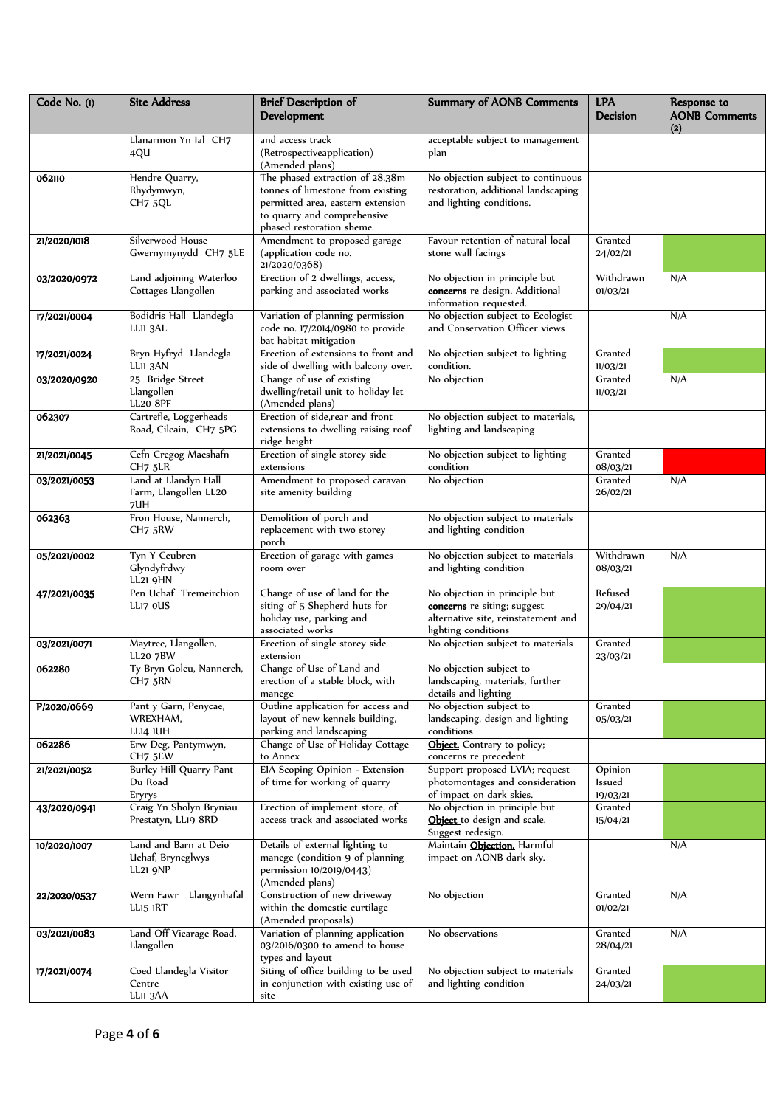| Code No. (1) | <b>Site Address</b>                                    | <b>Brief Description of</b><br>Development                                                                                                                            | <b>Summary of AONB Comments</b>                                                                                            | <b>LPA</b><br><b>Decision</b> | Response to<br><b>AONB Comments</b><br>(2) |
|--------------|--------------------------------------------------------|-----------------------------------------------------------------------------------------------------------------------------------------------------------------------|----------------------------------------------------------------------------------------------------------------------------|-------------------------------|--------------------------------------------|
|              | Llanarmon Yn Ial CH7<br>4QU                            | and access track<br>(Retrospectiveapplication)<br>(Amended plans)                                                                                                     | acceptable subject to management<br>plan                                                                                   |                               |                                            |
| 062110       | Hendre Quarry,<br>Rhydymwyn,<br>CH7 5QL                | The phased extraction of 28.38m<br>tonnes of limestone from existing<br>permitted area, eastern extension<br>to quarry and comprehensive<br>phased restoration sheme. | No objection subject to continuous<br>restoration, additional landscaping<br>and lighting conditions.                      |                               |                                            |
| 21/2020/1018 | Silverwood House<br>Gwernymynydd CH7 5LE               | Amendment to proposed garage<br>(application code no.<br>21/2020/0368)                                                                                                | Favour retention of natural local<br>stone wall facings                                                                    | Granted<br>24/02/21           |                                            |
| 03/2020/0972 | Land adjoining Waterloo<br>Cottages Llangollen         | Erection of 2 dwellings, access,<br>parking and associated works                                                                                                      | No objection in principle but<br>concerns re design. Additional<br>information requested.                                  | Withdrawn<br>01/03/21         | N/A                                        |
| 17/2021/0004 | Bodidris Hall Llandegla<br>LLII 3AL                    | Variation of planning permission<br>code no. 17/2014/0980 to provide<br>bat habitat mitigation                                                                        | No objection subject to Ecologist<br>and Conservation Officer views                                                        |                               | N/A                                        |
| 17/2021/0024 | Bryn Hyfryd Llandegla<br>LLII 3AN                      | Erection of extensions to front and<br>side of dwelling with balcony over.                                                                                            | No objection subject to lighting<br>condition.                                                                             | Granted<br>11/03/21           |                                            |
| 03/2020/0920 | 25 Bridge Street<br>Llangollen<br><b>LL20 8PF</b>      | Change of use of existing<br>dwelling/retail unit to holiday let<br>(Amended plans)                                                                                   | No objection                                                                                                               | Granted<br>11/03/21           | N/A                                        |
| 062307       | Cartrefle, Loggerheads<br>Road, Cilcain, CH7 5PG       | Erection of side, rear and front<br>extensions to dwelling raising roof<br>ridge height                                                                               | No objection subject to materials,<br>lighting and landscaping                                                             |                               |                                            |
| 21/2021/0045 | Cefn Cregog Maeshafn<br>CH7 5LR                        | Erection of single storey side<br>extensions                                                                                                                          | No objection subject to lighting<br>condition                                                                              | Granted<br>08/03/21           |                                            |
| 03/2021/0053 | Land at Llandyn Hall<br>Farm, Llangollen LL20<br>7UH   | Amendment to proposed caravan<br>site amenity building                                                                                                                | No objection                                                                                                               | Granted<br>26/02/21           | N/A                                        |
| 062363       | Fron House, Nannerch,<br>CH7 5RW                       | Demolition of porch and<br>replacement with two storey<br>porch                                                                                                       | No objection subject to materials<br>and lighting condition                                                                |                               |                                            |
| 05/2021/0002 | Tyn Y Ceubren<br>Glyndyfrdwy<br>LL21 9HN               | Erection of garage with games<br>room over                                                                                                                            | No objection subject to materials<br>and lighting condition                                                                | Withdrawn<br>08/03/21         | N/A                                        |
| 47/2021/0035 | Pen Uchaf Tremeirchion<br>LLI7 OUS                     | Change of use of land for the<br>siting of 5 Shepherd huts for<br>holiday use, parking and<br>associated works                                                        | No objection in principle but<br>concerns re siting; suggest<br>alternative site, reinstatement and<br>lighting conditions | Refused<br>29/04/21           |                                            |
| 03/2021/0071 | Maytree, Llangollen,<br><b>LL20 7BW</b>                | Erection of single storey side<br>extension                                                                                                                           | No objection subject to materials                                                                                          | Granted<br>23/03/21           |                                            |
| 062280       | Ty Bryn Goleu, Nannerch,<br>CH7 5RN                    | Change of Use of Land and<br>erection of a stable block, with<br>manege                                                                                               | No objection subject to<br>landscaping, materials, further<br>details and lighting                                         |                               |                                            |
| P/2020/0669  | Pant y Garn, Penycae,<br>WREXHAM,<br>LLI4 IUH          | Outline application for access and<br>layout of new kennels building,<br>parking and landscaping                                                                      | No objection subject to<br>landscaping, design and lighting<br>conditions                                                  | Granted<br>05/03/21           |                                            |
| 062286       | Erw Deg, Pantymwyn,<br>CH7 5EW                         | Change of Use of Holiday Cottage<br>to Annex                                                                                                                          | Object. Contrary to policy;<br>concerns re precedent                                                                       |                               |                                            |
| 21/2021/0052 | Burley Hill Quarry Pant<br>Du Road<br>Eryrys           | ElA Scoping Opinion - Extension<br>of time for working of quarry                                                                                                      | Support proposed LVIA; request<br>photomontages and consideration<br>of impact on dark skies.                              | Opinion<br>lssued<br>19/03/21 |                                            |
| 43/2020/0941 | Craig Yn Sholyn Bryniau<br>Prestatyn, LL19 8RD         | Erection of implement store, of<br>access track and associated works                                                                                                  | No objection in principle but<br>Object to design and scale.<br>Suggest redesign.                                          | Granted<br>15/04/21           |                                            |
| 10/2020/1007 | Land and Barn at Deio<br>Uchaf, Bryneglwys<br>LL21 9NP | Details of external lighting to<br>manege (condition 9 of planning<br>permission 10/2019/0443)<br>(Amended plans)                                                     | Maintain Objection. Harmful<br>impact on AONB dark sky.                                                                    |                               | N/A                                        |
| 22/2020/0537 | Wern Fawr Llangynhafal<br>LLI5 IRT                     | Construction of new driveway<br>within the domestic curtilage<br>(Amended proposals)                                                                                  | No objection                                                                                                               | Granted<br>01/02/21           | N/A                                        |
| 03/2021/0083 | Land Off Vicarage Road,<br>Llangollen                  | Variation of planning application<br>03/2016/0300 to amend to house<br>types and layout                                                                               | No observations                                                                                                            | Granted<br>28/04/21           | N/A                                        |
| 17/2021/0074 | Coed Llandegla Visitor<br>Centre<br>LLII 3AA           | Siting of office building to be used<br>in conjunction with existing use of<br>site                                                                                   | No objection subject to materials<br>and lighting condition                                                                | Granted<br>24/03/21           |                                            |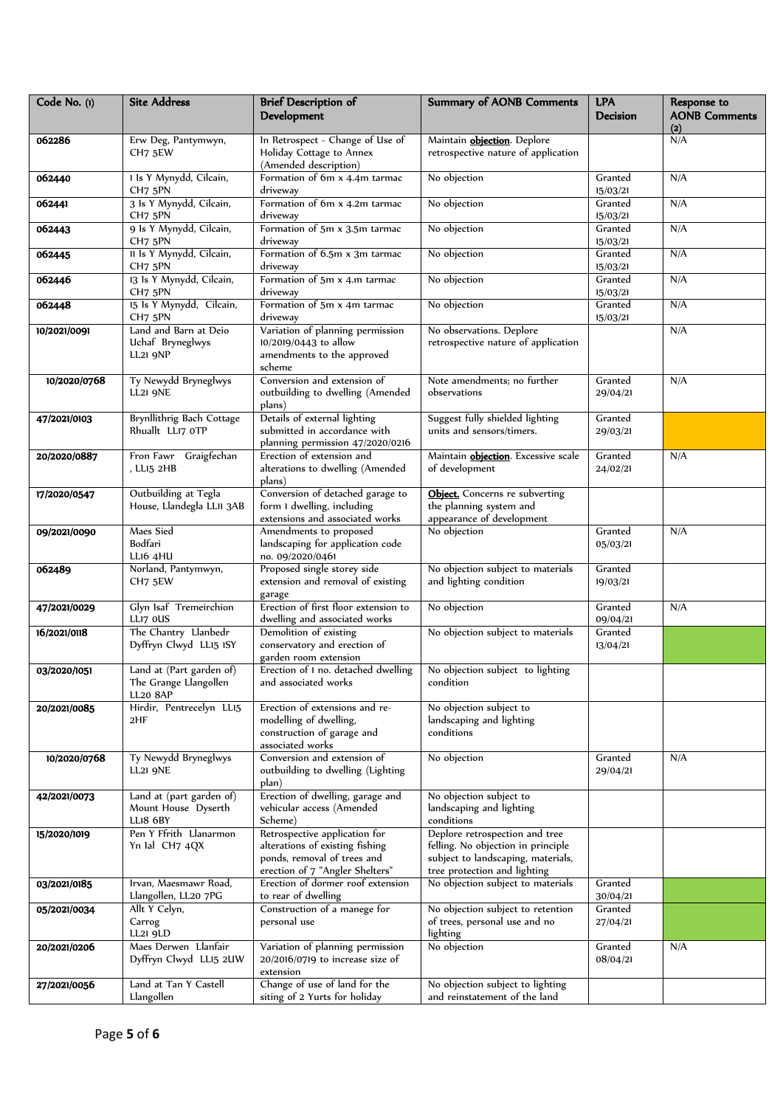| Code No. (1) | <b>Site Address</b>                                                  | <b>Brief Description of</b><br>Development                                                                                         | <b>Summary of AONB Comments</b>                                                                                                            | <b>LPA</b><br><b>Decision</b> | Response to<br><b>AONB Comments</b><br>(2) |
|--------------|----------------------------------------------------------------------|------------------------------------------------------------------------------------------------------------------------------------|--------------------------------------------------------------------------------------------------------------------------------------------|-------------------------------|--------------------------------------------|
| 062286       | Erw Deg, Pantymwyn,<br>CH7 5EW                                       | In Retrospect - Change of Use of<br>Holiday Cottage to Annex<br>(Amended description)                                              | Maintain <b>objection</b> . Deplore<br>retrospective nature of application                                                                 |                               | N/A                                        |
| 062440       | 1 ls Y Mynydd, Cilcain,<br>CH <sub>7</sub> 5PN                       | Formation of 6m x 4.4m tarmac<br>driveway                                                                                          | No objection                                                                                                                               | Granted<br>15/03/21           | N/A                                        |
| 062441       | 3 ls Y Mynydd, Cilcain,<br>CH7 5PN                                   | Formation of 6m x 4.2m tarmac<br>driveway                                                                                          | No objection                                                                                                                               | Granted<br>15/03/21           | N/A                                        |
| 062443       | 9 ls Y Mynydd, Cilcain,<br>CH7 5PN                                   | Formation of 5m x 3.5m tarmac<br>driveway                                                                                          | No objection                                                                                                                               | Granted<br>15/03/21           | N/A                                        |
| 062445       | Il Is Y Mynydd, Cilcain,<br>CH7 5PN                                  | Formation of 6.5m x 3m tarmac<br>driveway                                                                                          | No objection                                                                                                                               | Granted<br>15/03/21           | N/A                                        |
| 062446       | 13 ls Y Mynydd, Cilcain,<br>CH7 5PN                                  | Formation of 5m x 4.m tarmac<br>driveway                                                                                           | No objection                                                                                                                               | Granted<br>15/03/21           | N/A                                        |
| 062448       | 15 ls Y Mynydd, Cilcain,<br>CH <sub>7</sub> 5PN                      | Formation of 5m x 4m tarmac<br>driveway                                                                                            | No objection                                                                                                                               | Granted<br>15/03/21           | N/A                                        |
| 10/2021/0091 | Land and Barn at Deio<br>Uchaf Bryneglwys<br><b>LL21 9NP</b>         | Variation of planning permission<br>10/2019/0443 to allow<br>amendments to the approved<br>scheme                                  | No observations. Deplore<br>retrospective nature of application                                                                            |                               | N/A                                        |
| 10/2020/0768 | Ty Newydd Bryneglwys<br><b>LL21 9NE</b>                              | Conversion and extension of<br>outbuilding to dwelling (Amended<br>plans)                                                          | Note amendments; no further<br>observations                                                                                                | Granted<br>29/04/21           | N/A                                        |
| 47/2021/0103 | Brynllithrig Bach Cottage<br>Rhuallt LLI7 OTP                        | Details of external lighting<br>submitted in accordance with<br>planning permission 47/2020/0216                                   | Suggest fully shielded lighting<br>units and sensors/timers.                                                                               | Granted<br>29/03/21           |                                            |
| 20/2020/0887 | Fron Fawr Graigfechan<br>, LL15 2HB                                  | Erection of extension and<br>alterations to dwelling (Amended<br>plans)                                                            | Maintain <b>objection</b> . Excessive scale<br>of development                                                                              | Granted<br>24/02/21           | N/A                                        |
| 17/2020/0547 | Outbuilding at Tegla<br>House, Llandegla LLII 3AB                    | Conversion of detached garage to<br>form 1 dwelling, including<br>extensions and associated works                                  | Object. Concerns re subverting<br>the planning system and<br>appearance of development                                                     |                               |                                            |
| 09/2021/0090 | Maes Sied<br>Bodfari<br>LLI6 4HU                                     | Amendments to proposed<br>landscaping for application code<br>no. 09/2020/0461                                                     | No objection                                                                                                                               | Granted<br>05/03/21           | N/A                                        |
| 062489       | Norland, Pantymwyn,<br>CH <sub>7</sub> 5EW                           | Proposed single storey side<br>extension and removal of existing<br>garage                                                         | No objection subject to materials<br>and lighting condition                                                                                | Granted<br>19/03/21           |                                            |
| 47/2021/0029 | Glyn Isaf Tremeirchion<br>LLI7 OUS                                   | Erection of first floor extension to<br>dwelling and associated works                                                              | No objection                                                                                                                               | Granted<br>09/04/21           | N/A                                        |
| 16/2021/0118 | The Chantry Llanbedr<br>Dyffryn Clwyd LL15 ISY                       | Demolition of existing<br>conservatory and erection of<br>garden room extension                                                    | No objection subject to materials                                                                                                          | Granted<br>13/04/21           |                                            |
| 03/2020/1051 | Land at (Part garden of)<br>The Grange Llangollen<br><b>LL20 8AP</b> | Erection of 1 no. detached dwelling<br>and associated works                                                                        | No objection subject to lighting<br>condition                                                                                              |                               |                                            |
| 20/2021/0085 | Hirdir, Pentrecelyn LL15<br>2HF                                      | Erection of extensions and re-<br>modelling of dwelling,<br>construction of garage and<br>associated works                         | No objection subject to<br>landscaping and lighting<br>conditions                                                                          |                               |                                            |
| 10/2020/0768 | Ty Newydd Bryneglwys<br><b>LL21 9NE</b>                              | Conversion and extension of<br>outbuilding to dwelling (Lighting<br>plan)                                                          | No objection                                                                                                                               | Granted<br>29/04/21           | N/A                                        |
| 42/2021/0073 | Land at (part garden of)<br>Mount House Dyserth<br>LLI8 6BY          | Erection of dwelling, garage and<br>vehicular access (Amended<br>Scheme)                                                           | No objection subject to<br>landscaping and lighting<br>conditions                                                                          |                               |                                            |
| 15/2020/1019 | Pen Y Ffrith Llanarmon<br>Yn Ial CH7 4QX                             | Retrospective application for<br>alterations of existing fishing<br>ponds, removal of trees and<br>erection of 7 "Angler Shelters" | Deplore retrospection and tree<br>felling. No objection in principle<br>subject to landscaping, materials,<br>tree protection and lighting |                               |                                            |
| 03/2021/0185 | Irvan, Maesmawr Road,<br>Llangollen, LL20 7PG                        | Erection of dormer roof extension<br>to rear of dwelling                                                                           | No objection subject to materials                                                                                                          | Granted<br>30/04/21           |                                            |
| 05/2021/0034 | Allt Y Celyn,<br>Carrog<br>LL21 9LD                                  | Construction of a manege for<br>personal use                                                                                       | No objection subject to retention<br>of trees, personal use and no<br>lighting                                                             | Granted<br>27/04/21           |                                            |
| 20/2021/0206 | Maes Derwen Llanfair<br>Dyffryn Clwyd LL15 2UW                       | Variation of planning permission<br>20/2016/0719 to increase size of<br>extension                                                  | No objection                                                                                                                               | Granted<br>08/04/21           | N/A                                        |
| 27/2021/0056 | Land at Tan Y Castell<br>Llangollen                                  | Change of use of land for the<br>siting of 2 Yurts for holiday                                                                     | No objection subject to lighting<br>and reinstatement of the land                                                                          |                               |                                            |